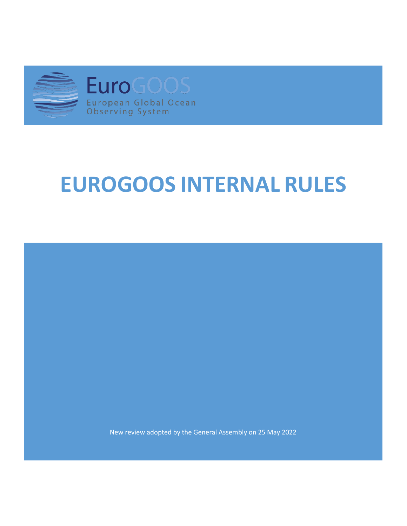

# **EUROGOOS INTERNAL RULES**

New review adopted by the General Assembly on 25 May 2022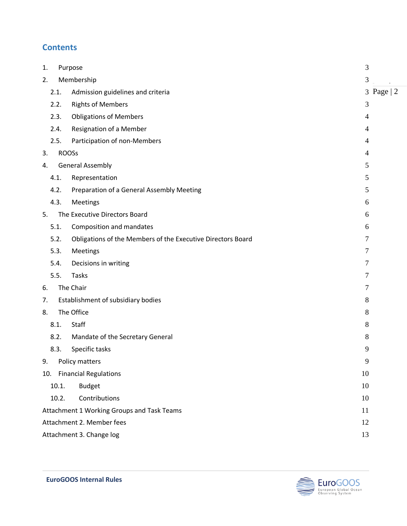#### **Contents**

| 1.                                               |                                 | Purpose                                                     |                |  |  |
|--------------------------------------------------|---------------------------------|-------------------------------------------------------------|----------------|--|--|
| 2.                                               |                                 | Membership                                                  |                |  |  |
|                                                  | 2.1.                            | Admission guidelines and criteria                           |                |  |  |
|                                                  | 2.2.                            | <b>Rights of Members</b>                                    | 3              |  |  |
|                                                  | 2.3.                            | <b>Obligations of Members</b>                               | $\overline{4}$ |  |  |
|                                                  | 2.4.                            | Resignation of a Member                                     | $\overline{4}$ |  |  |
|                                                  | 2.5.                            | Participation of non-Members                                | $\overline{4}$ |  |  |
| 3.                                               | <b>ROOSs</b>                    |                                                             | $\overline{4}$ |  |  |
| 4.                                               |                                 | <b>General Assembly</b>                                     |                |  |  |
|                                                  | 4.1.                            | Representation                                              | 5              |  |  |
|                                                  | 4.2.                            | Preparation of a General Assembly Meeting                   | 5              |  |  |
|                                                  | 4.3.                            | Meetings                                                    | 6              |  |  |
| 5.                                               |                                 | The Executive Directors Board                               |                |  |  |
|                                                  | 5.1.                            | Composition and mandates                                    | 6              |  |  |
|                                                  | 5.2.                            | Obligations of the Members of the Executive Directors Board | 7              |  |  |
|                                                  | 5.3.                            | Meetings                                                    | 7              |  |  |
|                                                  | 5.4.                            | Decisions in writing                                        | 7              |  |  |
|                                                  | 5.5.                            | <b>Tasks</b>                                                | 7              |  |  |
| 6.                                               |                                 | The Chair                                                   |                |  |  |
| 7.                                               |                                 | Establishment of subsidiary bodies                          |                |  |  |
| 8.                                               | The Office                      |                                                             | 8              |  |  |
| 8.1.                                             |                                 | Staff                                                       | 8              |  |  |
|                                                  | 8.2.                            | Mandate of the Secretary General                            | 8              |  |  |
|                                                  | 8.3.                            | Specific tasks                                              | 9              |  |  |
| 9.                                               |                                 | Policy matters                                              | 9              |  |  |
|                                                  |                                 | 10. Financial Regulations                                   | 10             |  |  |
|                                                  | 10.1.                           | <b>Budget</b>                                               | 10             |  |  |
|                                                  | 10.2.                           | Contributions                                               | 10             |  |  |
| Attachment 1 Working Groups and Task Teams<br>11 |                                 |                                                             |                |  |  |
|                                                  | Attachment 2. Member fees<br>12 |                                                             |                |  |  |
| Attachment 3. Change log<br>13                   |                                 |                                                             |                |  |  |

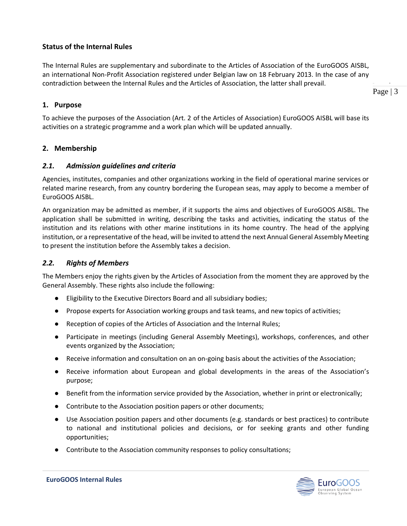#### **Status of the Internal Rules**

The Internal Rules are supplementary and subordinate to the Articles of Association of the EuroGOOS AISBL, an international Non-Profit Association registered under Belgian law on 18 February 2013. In the case of any contradiction between the Internal Rules and the Articles of Association, the latter shall prevail.

<span id="page-2-0"></span>**1. Purpose**

To achieve the purposes of the Association (Art. 2 of the Articles of Association) EuroGOOS AISBL will base its activities on a strategic programme and a work plan which will be updated annually.

#### <span id="page-2-1"></span>**2. Membership**

#### <span id="page-2-2"></span>*2.1. Admission guidelines and criteria*

Agencies, institutes, companies and other organizations working in the field of operational marine services or related marine research, from any country bordering the European seas, may apply to become a member of EuroGOOS AISBL.

An organization may be admitted as member, if it supports the aims and objectives of EuroGOOS AISBL. The application shall be submitted in writing, describing the tasks and activities, indicating the status of the institution and its relations with other marine institutions in its home country. The head of the applying institution, or a representative of the head, will be invited to attend the next Annual General Assembly Meeting to present the institution before the Assembly takes a decision.

#### <span id="page-2-3"></span>*2.2. Rights of Members*

The Members enjoy the rights given by the Articles of Association from the moment they are approved by the General Assembly. These rights also include the following:

- Eligibility to the Executive Directors Board and all subsidiary bodies;
- Propose experts for Association working groups and task teams, and new topics of activities;
- Reception of copies of the Articles of Association and the Internal Rules;
- Participate in meetings (including General Assembly Meetings), workshops, conferences, and other events organized by the Association;
- Receive information and consultation on an on-going basis about the activities of the Association;
- Receive information about European and global developments in the areas of the Association's purpose;
- Benefit from the information service provided by the Association, whether in print or electronically;
- Contribute to the Association position papers or other documents;
- Use Association position papers and other documents (e.g. standards or best practices) to contribute to national and institutional policies and decisions, or for seeking grants and other funding opportunities;
- Contribute to the Association community responses to policy consultations;



 $\frac{1}{p}$ Page  $\mid$  3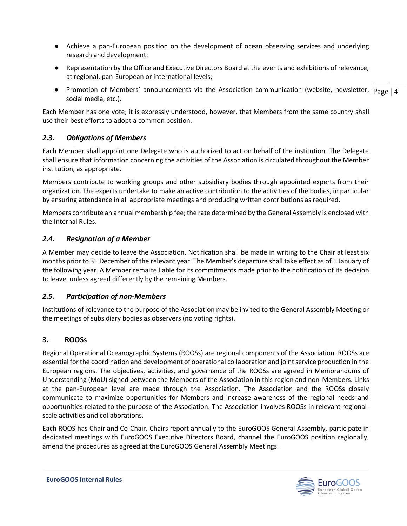- Achieve a pan-European position on the development of ocean observing services and underlying research and development;
- Representation by the Office and Executive Directors Board at the events and exhibitions of relevance, at regional, pan-European or international levels;
- $\frac{1}{p}$ • Promotion of Members' announcements via the Association communication (website, newsletter,  $\text{Page} | 4$ <br>cosial modia ats) social media, etc.).

Each Member has one vote; it is expressly understood, however, that Members from the same country shall use their best efforts to adopt a common position.

#### <span id="page-3-0"></span>*2.3. Obligations of Members*

Each Member shall appoint one Delegate who is authorized to act on behalf of the institution. The Delegate shall ensure that information concerning the activities of the Association is circulated throughout the Member institution, as appropriate.

Members contribute to working groups and other subsidiary bodies through appointed experts from their organization. The experts undertake to make an active contribution to the activities of the bodies, in particular by ensuring attendance in all appropriate meetings and producing written contributions as required.

Members contribute an annual membership fee; the rate determined by the General Assembly is enclosed with the Internal Rules.

#### <span id="page-3-1"></span>*2.4. Resignation of a Member*

A Member may decide to leave the Association. Notification shall be made in writing to the Chair at least six months prior to 31 December of the relevant year. The Member's departure shall take effect as of 1 January of the following year. A Member remains liable for its commitments made prior to the notification of its decision to leave, unless agreed differently by the remaining Members.

#### <span id="page-3-2"></span>*2.5. Participation of non-Members*

Institutions of relevance to the purpose of the Association may be invited to the General Assembly Meeting or the meetings of subsidiary bodies as observers (no voting rights).

#### <span id="page-3-3"></span>**3. ROOSs**

Regional Operational Oceanographic Systems (ROOSs) are regional components of the Association. ROOSs are essential for the coordination and development of operational collaboration and joint service production in the European regions. The objectives, activities, and governance of the ROOSs are agreed in Memorandums of Understanding (MoU) signed between the Members of the Association in this region and non-Members. Links at the pan-European level are made through the Association. The Association and the ROOSs closely communicate to maximize opportunities for Members and increase awareness of the regional needs and opportunities related to the purpose of the Association. The Association involves ROOSs in relevant regionalscale activities and collaborations.

Each ROOS has Chair and Co-Chair. Chairs report annually to the EuroGOOS General Assembly, participate in dedicated meetings with EuroGOOS Executive Directors Board, channel the EuroGOOS position regionally, amend the procedures as agreed at the EuroGOOS General Assembly Meetings.

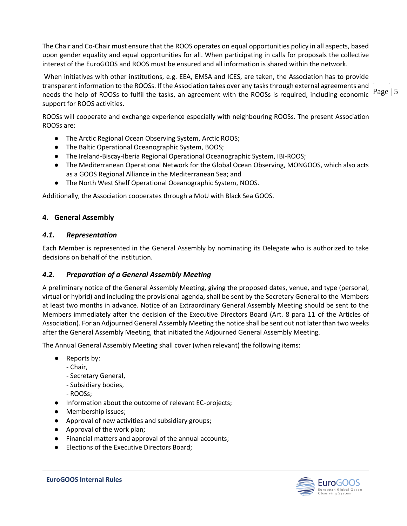The Chair and Co-Chair must ensure that the ROOS operates on equal opportunities policy in all aspects, based upon gender equality and equal opportunities for all. When participating in calls for proposals the collective interest of the EuroGOOS and ROOS must be ensured and all information is shared within the network.

 $\frac{1}{p}$  $P_{\text{reco}}$  is the help of ROOSs to fulfil the tasks, an agreement with the ROOSs is required, including economic  $P_{\text{age}} \mid 5$ When initiatives with other institutions, e.g. EEA, EMSA and ICES, are taken, the Association has to provide transparent information to the ROOSs. If the Association takes over any tasks through external agreements and support for ROOS activities.

ROOSs will cooperate and exchange experience especially with neighbouring ROOSs. The present Association ROOSs are:

- The Arctic Regional Ocean Observing System, Arctic ROOS;
- The Baltic Operational Oceanographic System, BOOS;
- The Ireland-Biscay-Iberia Regional Operational Oceanographic System, IBI-ROOS;
- The Mediterranean Operational Network for the Global Ocean Observing, MONGOOS, which also acts as a GOOS Regional Alliance in the Mediterranean Sea; and
- The North West Shelf Operational Oceanographic System, NOOS.

Additionally, the Association cooperates through a MoU with Black Sea GOOS.

#### <span id="page-4-0"></span>**4. General Assembly**

#### <span id="page-4-1"></span>*4.1. Representation*

Each Member is represented in the General Assembly by nominating its Delegate who is authorized to take decisions on behalf of the institution.

#### <span id="page-4-2"></span>*4.2. Preparation of a General Assembly Meeting*

A preliminary notice of the General Assembly Meeting, giving the proposed dates, venue, and type (personal, virtual or hybrid) and including the provisional agenda, shall be sent by the Secretary General to the Members at least two months in advance. Notice of an Extraordinary General Assembly Meeting should be sent to the Members immediately after the decision of the Executive Directors Board (Art. 8 para 11 of the Articles of Association). For an Adjourned General Assembly Meeting the notice shall be sent out not later than two weeks after the General Assembly Meeting, that initiated the Adjourned General Assembly Meeting.

The Annual General Assembly Meeting shall cover (when relevant) the following items:

- Reports by:
	- Chair,
	- Secretary General,
	- Subsidiary bodies,
	- ROOSs;
- Information about the outcome of relevant EC-projects;
- Membership issues;
- Approval of new activities and subsidiary groups;
- Approval of the work plan;
- Financial matters and approval of the annual accounts;
- Elections of the Executive Directors Board;

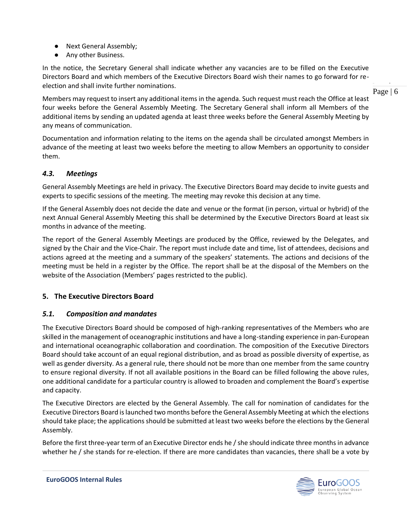- Next General Assembly;
- Any other Business.

In the notice, the Secretary General shall indicate whether any vacancies are to be filled on the Executive Directors Board and which members of the Executive Directors Board wish their names to go forward for reelection and shall invite further nominations.

 $\frac{1}{p}$ Page  $\mid 6 \rangle$ 

Members may request to insert any additional items in the agenda. Such request must reach the Office at least four weeks before the General Assembly Meeting. The Secretary General shall inform all Members of the additional items by sending an updated agenda at least three weeks before the General Assembly Meeting by any means of communication.

Documentation and information relating to the items on the agenda shall be circulated amongst Members in advance of the meeting at least two weeks before the meeting to allow Members an opportunity to consider them.

#### <span id="page-5-0"></span>*4.3. Meetings*

General Assembly Meetings are held in privacy. The Executive Directors Board may decide to invite guests and experts to specific sessions of the meeting. The meeting may revoke this decision at any time.

If the General Assembly does not decide the date and venue or the format (in person, virtual or hybrid) of the next Annual General Assembly Meeting this shall be determined by the Executive Directors Board at least six months in advance of the meeting.

The report of the General Assembly Meetings are produced by the Office, reviewed by the Delegates, and signed by the Chair and the Vice-Chair. The report must include date and time, list of attendees, decisions and actions agreed at the meeting and a summary of the speakers' statements. The actions and decisions of the meeting must be held in a register by the Office. The report shall be at the disposal of the Members on the website of the Association (Members' pages restricted to the public).

#### <span id="page-5-1"></span>**5. The Executive Directors Board**

#### <span id="page-5-2"></span>*5.1. Composition and mandates*

The Executive Directors Board should be composed of high-ranking representatives of the Members who are skilled in the management of oceanographic institutions and have a long-standing experience in pan-European and international oceanographic collaboration and coordination. The composition of the Executive Directors Board should take account of an equal regional distribution, and as broad as possible diversity of expertise, as well as gender diversity. As a general rule, there should not be more than one member from the same country to ensure regional diversity. If not all available positions in the Board can be filled following the above rules, one additional candidate for a particular country is allowed to broaden and complement the Board's expertise and capacity.

The Executive Directors are elected by the General Assembly. The call for nomination of candidates for the Executive Directors Board is launched two months before the General Assembly Meeting at which the elections should take place; the applications should be submitted at least two weeks before the elections by the General Assembly.

Before the first three-year term of an Executive Director ends he / she should indicate three months in advance whether he / she stands for re-election. If there are more candidates than vacancies, there shall be a vote by

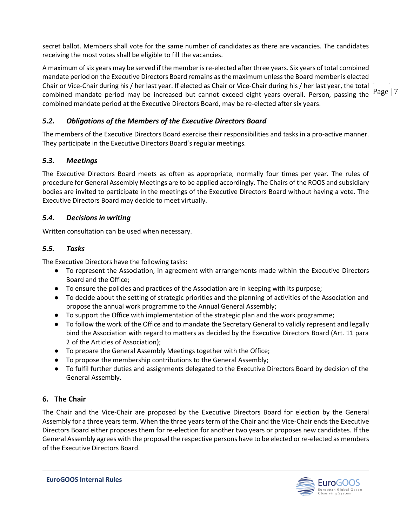secret ballot. Members shall vote for the same number of candidates as there are vacancies. The candidates receiving the most votes shall be eligible to fill the vacancies.

 $\frac{1}{p}$  $P_{\text{mean}}$  is the shall defined mandate period may be increased but cannot exceed eight years overall. Person, passing the  $P_{\text{age}}|7$ A maximum of six years may be served if the member is re-elected after three years. Six years of total combined mandate period on the Executive Directors Board remains as the maximum unless the Board member is elected Chair or Vice-Chair during his / her last year. If elected as Chair or Vice-Chair during his / her last year, the total combined mandate period at the Executive Directors Board, may be re-elected after six years.

#### <span id="page-6-0"></span>*5.2. Obligations of the Members of the Executive Directors Board*

The members of the Executive Directors Board exercise their responsibilities and tasks in a pro-active manner. They participate in the Executive Directors Board's regular meetings.

#### <span id="page-6-1"></span>*5.3. Meetings*

The Executive Directors Board meets as often as appropriate, normally four times per year. The rules of procedure for General Assembly Meetings are to be applied accordingly. The Chairs of the ROOS and subsidiary bodies are invited to participate in the meetings of the Executive Directors Board without having a vote. The Executive Directors Board may decide to meet virtually.

#### <span id="page-6-2"></span>*5.4. Decisions in writing*

<span id="page-6-3"></span>Written consultation can be used when necessary.

#### *5.5. Tasks*

The Executive Directors have the following tasks:

- To represent the Association, in agreement with arrangements made within the Executive Directors Board and the Office;
- To ensure the policies and practices of the Association are in keeping with its purpose;
- To decide about the setting of strategic priorities and the planning of activities of the Association and propose the annual work programme to the Annual General Assembly;
- To support the Office with implementation of the strategic plan and the work programme;
- To follow the work of the Office and to mandate the Secretary General to validly represent and legally bind the Association with regard to matters as decided by the Executive Directors Board (Art. 11 para 2 of the Articles of Association);
- To prepare the General Assembly Meetings together with the Office;
- To propose the membership contributions to the General Assembly;
- To fulfil further duties and assignments delegated to the Executive Directors Board by decision of the General Assembly.

#### <span id="page-6-4"></span>**6. The Chair**

The Chair and the Vice-Chair are proposed by the Executive Directors Board for election by the General Assembly for a three years term. When the three years term of the Chair and the Vice-Chair ends the Executive Directors Board either proposes them for re-election for another two years or proposes new candidates. If the General Assembly agrees with the proposal the respective persons have to be elected or re-elected as members of the Executive Directors Board.

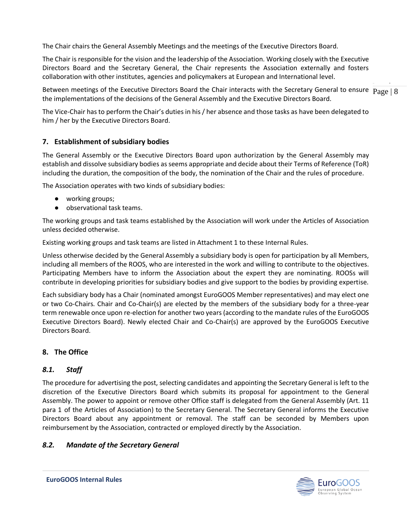The Chair chairs the General Assembly Meetings and the meetings of the Executive Directors Board.

The Chair is responsible for the vision and the leadership of the Association. Working closely with the Executive Directors Board and the Secretary General, the Chair represents the Association externally and fosters collaboration with other institutes, agencies and policymakers at European and International level.

 $\frac{1}{p}$ Between meetings of the Executive Directors Board the Chair interacts with the Secretary General to ensure  $\frac{1}{2}$   $\frac{1}{2}$   $\frac{1}{8}$   $\frac{1}{8}$ the implementations of the decisions of the General Assembly and the Executive Directors Board.

The Vice-Chair has to perform the Chair's duties in his / her absence and those tasks as have been delegated to him / her by the Executive Directors Board.

#### <span id="page-7-0"></span>**7. Establishment of subsidiary bodies**

The General Assembly or the Executive Directors Board upon authorization by the General Assembly may establish and dissolve subsidiary bodies as seems appropriate and decide about their Terms of Reference (ToR) including the duration, the composition of the body, the nomination of the Chair and the rules of procedure.

The Association operates with two kinds of subsidiary bodies:

- working groups;
- observational task teams.

The working groups and task teams established by the Association will work under the Articles of Association unless decided otherwise.

Existing working groups and task teams are listed in Attachment 1 to these Internal Rules.

Unless otherwise decided by the General Assembly a subsidiary body is open for participation by all Members, including all members of the ROOS, who are interested in the work and willing to contribute to the objectives. Participating Members have to inform the Association about the expert they are nominating. ROOSs will contribute in developing priorities for subsidiary bodies and give support to the bodies by providing expertise.

Each subsidiary body has a Chair (nominated amongst EuroGOOS Member representatives) and may elect one or two Co-Chairs. Chair and Co-Chair(s) are elected by the members of the subsidiary body for a three-year term renewable once upon re-election for another two years (according to the mandate rules of the EuroGOOS Executive Directors Board). Newly elected Chair and Co-Chair(s) are approved by the EuroGOOS Executive Directors Board.

#### <span id="page-7-1"></span>**8. The Office**

#### <span id="page-7-2"></span>*8.1. Staff*

The procedure for advertising the post, selecting candidates and appointing the Secretary General is left to the discretion of the Executive Directors Board which submits its proposal for appointment to the General Assembly. The power to appoint or remove other Office staff is delegated from the General Assembly (Art. 11 para 1 of the Articles of Association) to the Secretary General. The Secretary General informs the Executive Directors Board about any appointment or removal. The staff can be seconded by Members upon reimbursement by the Association, contracted or employed directly by the Association.

#### <span id="page-7-3"></span>*8.2. Mandate of the Secretary General*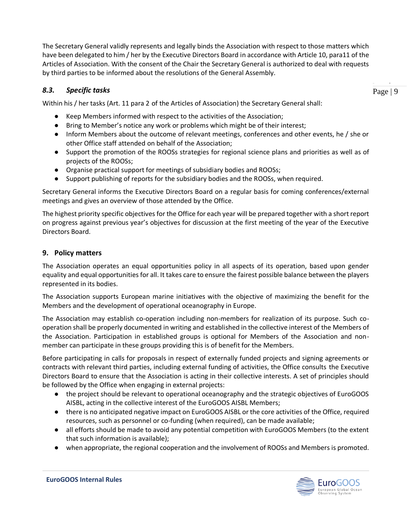The Secretary General validly represents and legally binds the Association with respect to those matters which have been delegated to him / her by the Executive Directors Board in accordance with Article 10, para11 of the Articles of Association. With the consent of the Chair the Secretary General is authorized to deal with requests by third parties to be informed about the resolutions of the General Assembly.

#### <span id="page-8-0"></span>*8.3. Specific tasks*

 $\frac{1}{p}$ Page  $|9$ 

Within his / her tasks (Art. 11 para 2 of the Articles of Association) the Secretary General shall:

- Keep Members informed with respect to the activities of the Association;
- Bring to Member's notice any work or problems which might be of their interest;
- Inform Members about the outcome of relevant meetings, conferences and other events, he / she or other Office staff attended on behalf of the Association;
- Support the promotion of the ROOSs strategies for regional science plans and priorities as well as of projects of the ROOSs;
- Organise practical support for meetings of subsidiary bodies and ROOSs;
- Support publishing of reports for the subsidiary bodies and the ROOSs, when required.

Secretary General informs the Executive Directors Board on a regular basis for coming conferences/external meetings and gives an overview of those attended by the Office.

The highest priority specific objectives for the Office for each year will be prepared together with a short report on progress against previous year's objectives for discussion at the first meeting of the year of the Executive Directors Board.

#### <span id="page-8-1"></span>**9. Policy matters**

The Association operates an equal opportunities policy in all aspects of its operation, based upon gender equality and equal opportunities for all. It takes care to ensure the fairest possible balance between the players represented in its bodies.

The Association supports European marine initiatives with the objective of maximizing the benefit for the Members and the development of operational oceanography in Europe.

The Association may establish co-operation including non-members for realization of its purpose. Such cooperation shall be properly documented in writing and established in the collective interest of the Members of the Association. Participation in established groups is optional for Members of the Association and nonmember can participate in these groups providing this is of benefit for the Members.

Before participating in calls for proposals in respect of externally funded projects and signing agreements or contracts with relevant third parties, including external funding of activities, the Office consults the Executive Directors Board to ensure that the Association is acting in their collective interests. A set of principles should be followed by the Office when engaging in external projects:

- the project should be relevant to operational oceanography and the strategic objectives of EuroGOOS AISBL, acting in the collective interest of the EuroGOOS AISBL Members;
- there is no anticipated negative impact on EuroGOOS AISBL or the core activities of the Office, required resources, such as personnel or co-funding (when required), can be made available;
- all efforts should be made to avoid any potential competition with EuroGOOS Members (to the extent that such information is available);
- when appropriate, the regional cooperation and the involvement of ROOSs and Members is promoted.

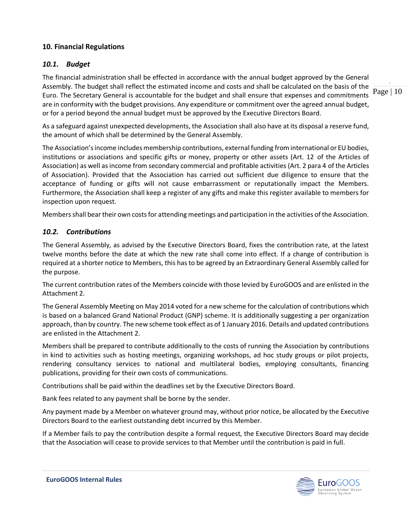#### <span id="page-9-0"></span>**10. Financial Regulations**

#### <span id="page-9-1"></span>*10.1. Budget*

 $\frac{1}{p}$ Page | 10 The financial administration shall be effected in accordance with the annual budget approved by the General Assembly. The budget shall reflect the estimated income and costs and shall be calculated on the basis of the Euro. The Secretary General is accountable for the budget and shall ensure that expenses and commitments are in conformity with the budget provisions. Any expenditure or commitment over the agreed annual budget, or for a period beyond the annual budget must be approved by the Executive Directors Board.

As a safeguard against unexpected developments, the Association shall also have at its disposal a reserve fund, the amount of which shall be determined by the General Assembly.

The Association's income includes membership contributions, external funding from international or EU bodies, institutions or associations and specific gifts or money, property or other assets (Art. 12 of the Articles of Association) as well as income from secondary commercial and profitable activities (Art. 2 para 4 of the Articles of Association). Provided that the Association has carried out sufficient due diligence to ensure that the acceptance of funding or gifts will not cause embarrassment or reputationally impact the Members. Furthermore, the Association shall keep a register of any gifts and make this register available to members for inspection upon request.

Members shall bear their own costs for attending meetings and participation in the activities of the Association.

#### <span id="page-9-2"></span>*10.2. Contributions*

The General Assembly, as advised by the Executive Directors Board, fixes the contribution rate, at the latest twelve months before the date at which the new rate shall come into effect. If a change of contribution is required at a shorter notice to Members, this has to be agreed by an Extraordinary General Assembly called for the purpose.

The current contribution rates of the Members coincide with those levied by EuroGOOS and are enlisted in the Attachment 2.

The General Assembly Meeting on May 2014 voted for a new scheme for the calculation of contributions which is based on a balanced Grand National Product (GNP) scheme. It is additionally suggesting a per organization approach, than by country. The new scheme took effect as of 1 January 2016. Details and updated contributions are enlisted in the Attachment 2.

Members shall be prepared to contribute additionally to the costs of running the Association by contributions in kind to activities such as hosting meetings, organizing workshops, ad hoc study groups or pilot projects, rendering consultancy services to national and multilateral bodies, employing consultants, financing publications, providing for their own costs of communications.

Contributions shall be paid within the deadlines set by the Executive Directors Board.

Bank fees related to any payment shall be borne by the sender.

Any payment made by a Member on whatever ground may, without prior notice, be allocated by the Executive Directors Board to the earliest outstanding debt incurred by this Member.

If a Member fails to pay the contribution despite a formal request, the Executive Directors Board may decide that the Association will cease to provide services to that Member until the contribution is paid in full.

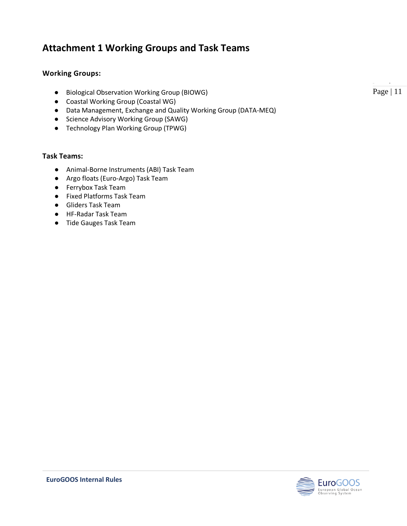## <span id="page-10-0"></span>**Attachment 1 Working Groups and Task Teams**

#### **Working Groups:**

- Biological Observation Working Group (BIOWG)
- Coastal Working Group (Coastal WG)
- Data Management, Exchange and Quality Working Group (DATA-MEQ)
- Science Advisory Working Group (SAWG)
- Technology Plan Working Group (TPWG)

#### **Task Teams:**

- Animal-Borne Instruments (ABI) Task Team
- Argo floats (Euro-Argo) Task Team
- Ferrybox Task Team
- Fixed Platforms Task Team
- Gliders Task Team
- HF-Radar Task Team
- Tide Gauges Task Team

 $\frac{1}{p}$ Page | 11

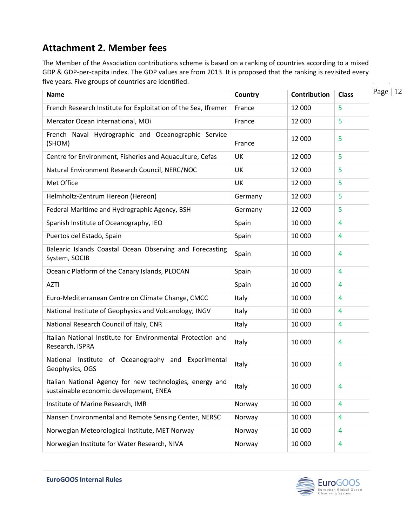# <span id="page-11-0"></span>**Attachment 2. Member fees**

The Member of the Association contributions scheme is based on a ranking of countries according to a mixed GDP & GDP-per-capita index. The GDP values are from 2013. It is proposed that the ranking is revisited every five years. Five groups of countries are identified.

| <b>Name</b>                                                                                        | Country | Contribution | <b>Class</b>   |
|----------------------------------------------------------------------------------------------------|---------|--------------|----------------|
| French Research Institute for Exploitation of the Sea, Ifremer                                     | France  | 12 000       | 5              |
| Mercator Ocean international, MOi                                                                  | France  | 12 000       | 5              |
| French Naval Hydrographic and Oceanographic Service<br>(SHOM)                                      | France  | 12 000       | 5              |
| Centre for Environment, Fisheries and Aquaculture, Cefas                                           | UK      | 12 000       | 5              |
| Natural Environment Research Council, NERC/NOC                                                     | UK      | 12 000       | 5              |
| Met Office                                                                                         | UK      | 12 000       | 5              |
| Helmholtz-Zentrum Hereon (Hereon)                                                                  | Germany | 12 000       | 5              |
| Federal Maritime and Hydrographic Agency, BSH                                                      | Germany | 12 000       | 5              |
| Spanish Institute of Oceanography, IEO                                                             | Spain   | 10 000       | 4              |
| Puertos del Estado, Spain                                                                          | Spain   | 10 000       | 4              |
| Balearic Islands Coastal Ocean Observing and Forecasting<br>System, SOCIB                          | Spain   | 10 000       | 4              |
| Oceanic Platform of the Canary Islands, PLOCAN                                                     | Spain   | 10 000       | 4              |
| <b>AZTI</b>                                                                                        | Spain   | 10 000       | 4              |
| Euro-Mediterranean Centre on Climate Change, CMCC                                                  | Italy   | 10 000       | 4              |
| National Institute of Geophysics and Volcanology, INGV                                             | Italy   | 10 000       | 4              |
| National Research Council of Italy, CNR                                                            | Italy   | 10 000       | 4              |
| Italian National Institute for Environmental Protection and<br>Research, ISPRA                     | Italy   | 10 000       | 4              |
| National Institute of Oceanography and Experimental<br>Geophysics, OGS                             | Italy   | 10 000       | 4              |
| Italian National Agency for new technologies, energy and<br>sustainable economic development, ENEA | Italy   | 10 000       | 4              |
| Institute of Marine Research, IMR                                                                  | Norway  | 10 000       | $\overline{4}$ |
| Nansen Environmental and Remote Sensing Center, NERSC                                              | Norway  | 10 000       | 4              |
| Norwegian Meteorological Institute, MET Norway                                                     | Norway  | 10 000       | 4              |
| Norwegian Institute for Water Research, NIVA                                                       | Norway  | 10 000       | 4              |

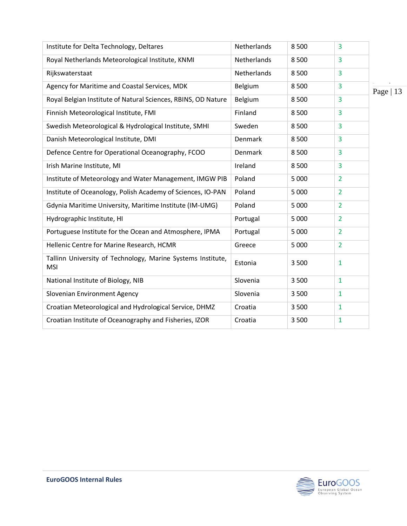| Institute for Delta Technology, Deltares                                  | Netherlands | 8500    | 3              |           |
|---------------------------------------------------------------------------|-------------|---------|----------------|-----------|
| Royal Netherlands Meteorological Institute, KNMI                          | Netherlands | 8500    | 3              |           |
| Rijkswaterstaat                                                           | Netherlands | 8500    | 3              |           |
| Agency for Maritime and Coastal Services, MDK                             | Belgium     | 8500    | $\overline{3}$ | Page   13 |
| Royal Belgian Institute of Natural Sciences, RBINS, OD Nature             | Belgium     | 8500    | 3              |           |
| Finnish Meteorological Institute, FMI                                     | Finland     | 8500    | 3              |           |
| Swedish Meteorological & Hydrological Institute, SMHI                     | Sweden      | 8500    | 3              |           |
| Danish Meteorological Institute, DMI                                      | Denmark     | 8500    | $\overline{3}$ |           |
| Defence Centre for Operational Oceanography, FCOO                         | Denmark     | 8500    | 3              |           |
| Irish Marine Institute, MI                                                | Ireland     | 8500    | 3              |           |
| Institute of Meteorology and Water Management, IMGW PIB                   | Poland      | 5 0 0 0 | $\overline{2}$ |           |
| Institute of Oceanology, Polish Academy of Sciences, IO-PAN               | Poland      | 5 0 0 0 | $\overline{2}$ |           |
| Gdynia Maritime University, Maritime Institute (IM-UMG)                   | Poland      | 5 0 0 0 | $\overline{2}$ |           |
| Hydrographic Institute, HI                                                | Portugal    | 5 0 0 0 | $\overline{2}$ |           |
| Portuguese Institute for the Ocean and Atmosphere, IPMA                   | Portugal    | 5 0 0 0 | $\overline{2}$ |           |
| Hellenic Centre for Marine Research, HCMR                                 | Greece      | 5 0 0 0 | $\overline{2}$ |           |
| Tallinn University of Technology, Marine Systems Institute,<br><b>MSI</b> | Estonia     | 3 500   | 1              |           |
| National Institute of Biology, NIB                                        | Slovenia    | 3 500   | $\mathbf{1}$   |           |
| Slovenian Environment Agency                                              | Slovenia    | 3 5 0 0 | $\mathbf{1}$   |           |
| Croatian Meteorological and Hydrological Service, DHMZ                    | Croatia     | 3 5 0 0 | $\mathbf{1}$   |           |
| Croatian Institute of Oceanography and Fisheries, IZOR                    | Croatia     | 3 500   | $\mathbf{1}$   |           |

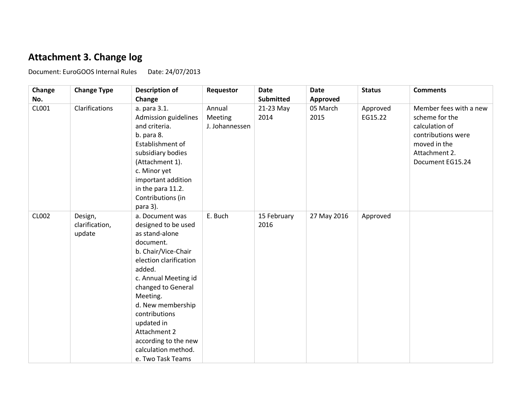### **Attachment 3. Change log**

Document: EuroGOOS Internal Rules Date: 24/07/2013

<span id="page-13-0"></span>**Change No. Change Type Description of Change Requestor Date Submitted Date Approved Status Comments** CL001 Clarifications a. para 3.1. Admission guidelines and criteria. b. para 8. Establishment of subsidiary bodies (Attachment 1). c. Minor yet important addition in the para 11.2. Contributions (in para 3). Annual Meeting J. Johannessen 21-23 May 2014 05 March 2015 Approved EG15.22 Member fees with a new scheme for the calculation of contributions were moved in the Attachment 2. Document EG15.24 CL002 Design, clarification, update a. Document was designed to be used as stand-alone document. b. Chair/Vice-Chair election clarification added. c. Annual Meeting id changed to General Meeting. d. New membership contributions updated in Attachment 2 according to the new calculation method. e. Two Task Teams E. Buch 15 February 2016 27 May 2016  $\vert$  Approved